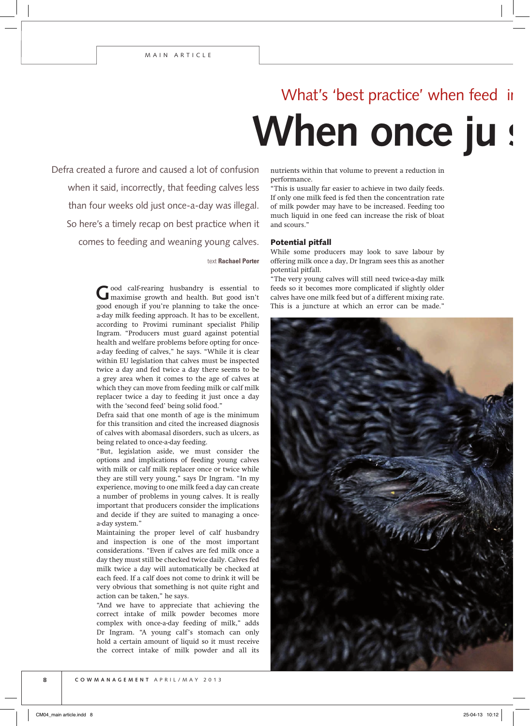## **When once ju** What's 'best practice' when feed

Defra created a furore and caused a lot of confusion when it said, incorrectly, that feeding calves less than four weeks old just once-a-day was illegal. So here's a timely recap on best practice when it comes to feeding and weaning young calves.

## text **Rachael Porter**

Good calf-rearing husbandry is essential to maximise growth and health. But good isn't good enough if you're planning to take the oncea-day milk feeding approach. It has to be excellent, according to Provimi ruminant specialist Philip Ingram. "Producers must guard against potential health and welfare problems before opting for oncea-day feeding of calves," he says. "While it is clear within EU legislation that calves must be inspected twice a day and fed twice a day there seems to be a grey area when it comes to the age of calves at which they can move from feeding milk or calf milk replacer twice a day to feeding it just once a day with the 'second feed' being solid food."

Defra said that one month of age is the minimum for this transition and cited the increased diagnosis of calves with abomasal disorders, such as ulcers, as being related to once-a-day feeding.

"But, legislation aside, we must consider the options and implications of feeding young calves with milk or calf milk replacer once or twice while they are still very young," says Dr Ingram. "In my experience, moving to one milk feed a day can create a number of problems in young calves. It is really important that producers consider the implications and decide if they are suited to managing a oncea-day system."

Maintaining the proper level of calf husbandry and inspection is one of the most important considerations. "Even if calves are fed milk once a day they must still be checked twice daily. Calves fed milk twice a day will automatically be checked at each feed. If a calf does not come to drink it will be very obvious that something is not quite right and action can be taken," he says.

"And we have to appreciate that achieving the correct intake of milk powder becomes more complex with once-a-day feeding of milk," adds Dr Ingram. "A young calf's stomach can only hold a certain amount of liquid so it must receive the correct intake of milk powder and all its

nutrients within that volume to prevent a reduction in performance.

"This is usually far easier to achieve in two daily feeds. If only one milk feed is fed then the concentration rate of milk powder may have to be increased. Feeding too much liquid in one feed can increase the risk of bloat and scours."

### Potential pitfall

While some producers may look to save labour by offering milk once a day, Dr Ingram sees this as another potential pitfall.

"The very young calves will still need twice-a-day milk feeds so it becomes more complicated if slightly older calves have one milk feed but of a different mixing rate. This is a juncture at which an error can be made."

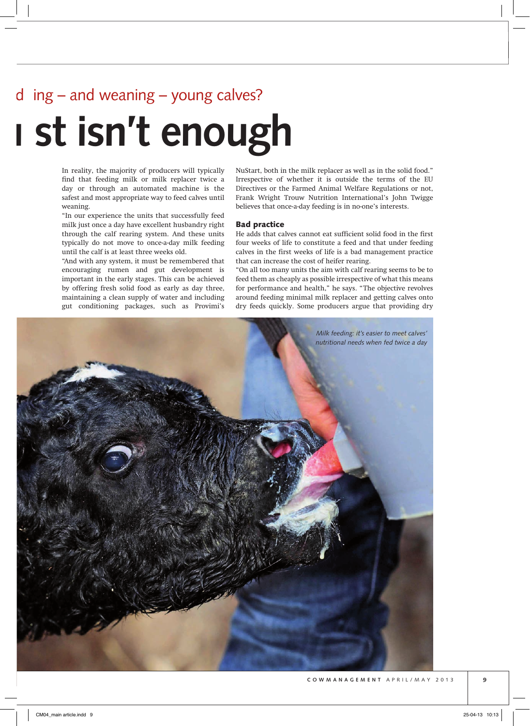# st isn't enough  $ing - and weaning - youngcalo$

In reality, the majority of producers will typically find that feeding milk or milk replacer twice a day or through an automated machine is the safest and most appropriate way to feed calves until weaning.

"In our experience the units that successfully feed milk just once a day have excellent husbandry right through the calf rearing system. And these units typically do not move to once-a-day milk feeding until the calf is at least three weeks old.

"And with any system, it must be remembered that encouraging rumen and gut development is important in the early stages. This can be achieved by offering fresh solid food as early as day three, maintaining a clean supply of water and including gut conditioning packages, such as Provimi's NuStart, both in the milk replacer as well as in the solid food." Irrespective of whether it is outside the terms of the EU Directives or the Farmed Animal Welfare Regulations or not, Frank Wright Trouw Nutrition International's John Twigge believes that once-a-day feeding is in no-one's interests.

## Bad practice

He adds that calves cannot eat sufficient solid food in the first four weeks of life to constitute a feed and that under feeding calves in the first weeks of life is a bad management practice that can increase the cost of heifer rearing.

"On all too many units the aim with calf rearing seems to be to feed them as cheaply as possible irrespective of what this means for performance and health," he says. "The objective revolves around feeding minimal milk replacer and getting calves onto dry feeds quickly. Some producers argue that providing dry